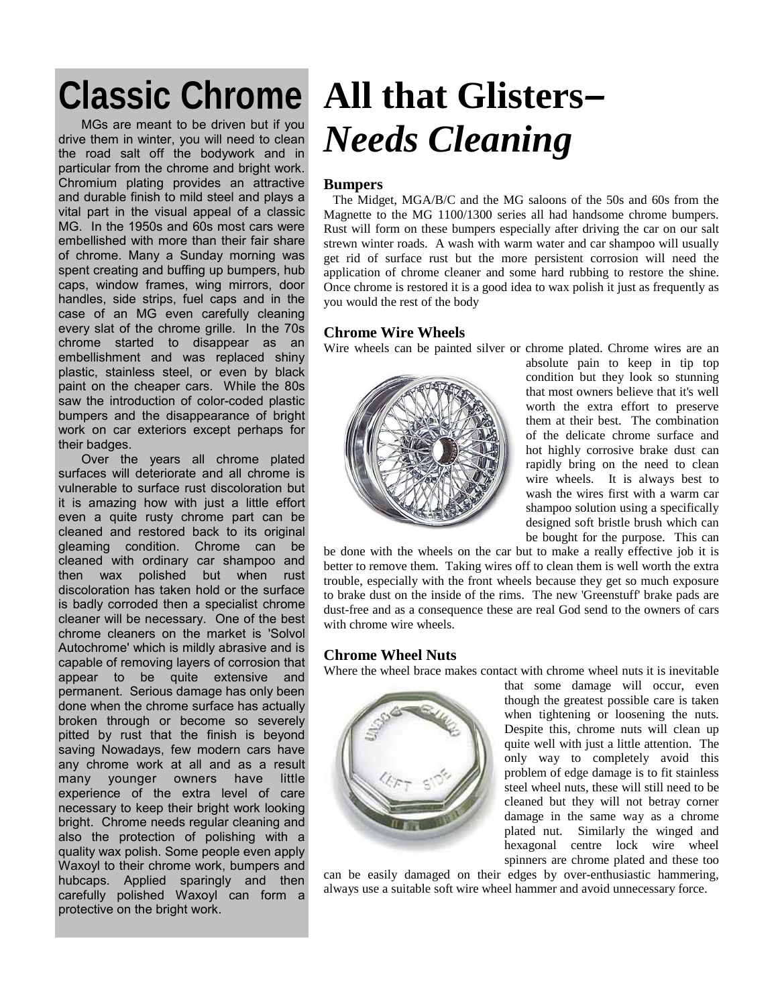## **Classic Chrome**

MGs are meant to be driven but if you drive them in winter, you will need to clean the road salt off the bodywork and in particular from the chrome and bright work. Chromium plating provides an attractive and durable finish to mild steel and plays a vital part in the visual appeal of a classic MG. In the 1950s and 60s most cars were embellished with more than their fair share of chrome. Many a Sunday morning was spent creating and buffing up bumpers, hub caps, window frames, wing mirrors, door handles, side strips, fuel caps and in the case of an MG even carefully cleaning every slat of the chrome grille. In the 70s chrome started to disappear as an embellishment and was replaced shiny plastic, stainless steel, or even by black paint on the cheaper cars. While the 80s saw the introduction of color-coded plastic bumpers and the disappearance of bright work on car exteriors except perhaps for their badges.

Over the years all chrome plated surfaces will deteriorate and all chrome is vulnerable to surface rust discoloration but it is amazing how with just a little effort even a quite rusty chrome part can be cleaned and restored back to its original gleaming condition. Chrome can be cleaned with ordinary car shampoo and then wax polished but when rust discoloration has taken hold or the surface is badly corroded then a specialist chrome cleaner will be necessary. One of the best chrome cleaners on the market is 'Solvol Autochrome' which is mildly abrasive and is capable of removing layers of corrosion that appear to be quite extensive and permanent. Serious damage has only been done when the chrome surface has actually broken through or become so severely pitted by rust that the finish is beyond saving Nowadays, few modern cars have any chrome work at all and as a result many younger owners have little experience of the extra level of care necessary to keep their bright work looking bright. Chrome needs regular cleaning and also the protection of polishing with a quality wax polish. Some people even apply Waxoyl to their chrome work, bumpers and hubcaps. Applied sparingly and then carefully polished Waxoyl can form a protective on the bright work.

# **All that Glisters***– Needs Cleaning*

#### **Bumpers**

The Midget, MGA/B/C and the MG saloons of the 50s and 60s from the Magnette to the MG 1100/1300 series all had handsome chrome bumpers. Rust will form on these bumpers especially after driving the car on our salt strewn winter roads. A wash with warm water and car shampoo will usually get rid of surface rust but the more persistent corrosion will need the application of chrome cleaner and some hard rubbing to restore the shine. Once chrome is restored it is a good idea to wax polish it just as frequently as you would the rest of the body

#### **Chrome Wire Wheels**

Wire wheels can be painted silver or chrome plated. Chrome wires are an



absolute pain to keep in tip top condition but they look so stunning that most owners believe that it's well worth the extra effort to preserve them at their best. The combination of the delicate chrome surface and hot highly corrosive brake dust can rapidly bring on the need to clean wire wheels. It is always best to wash the wires first with a warm car shampoo solution using a specifically designed soft bristle brush which can be bought for the purpose. This can

be done with the wheels on the car but to make a really effective job it is better to remove them. Taking wires off to clean them is well worth the extra trouble, especially with the front wheels because they get so much exposure to brake dust on the inside of the rims. The new 'Greenstuff' brake pads are dust-free and as a consequence these are real God send to the owners of cars with chrome wire wheels.

### **Chrome Wheel Nuts**

Where the wheel brace makes contact with chrome wheel nuts it is inevitable



that some damage will occur, even though the greatest possible care is taken when tightening or loosening the nuts. Despite this, chrome nuts will clean up quite well with just a little attention. The only way to completely avoid this problem of edge damage is to fit stainless steel wheel nuts, these will still need to be cleaned but they will not betray corner damage in the same way as a chrome plated nut. Similarly the winged and hexagonal centre lock wire wheel spinners are chrome plated and these too

can be easily damaged on their edges by over-enthusiastic hammering, always use a suitable soft wire wheel hammer and avoid unnecessary force.